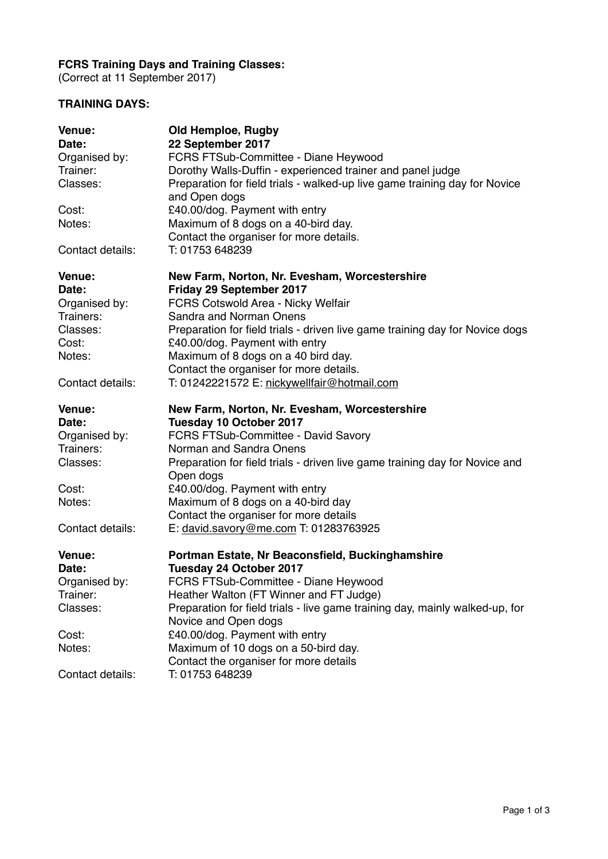## **FCRS Training Days and Training Classes:**

(Correct at 11 September 2017)

## **TRAINING DAYS:**

| Venue:           | <b>Old Hemploe, Rugby</b>                                                    |
|------------------|------------------------------------------------------------------------------|
| Date:            | 22 September 2017                                                            |
| Organised by:    | FCRS FTSub-Committee - Diane Heywood                                         |
| Trainer:         | Dorothy Walls-Duffin - experienced trainer and panel judge                   |
| Classes:         | Preparation for field trials - walked-up live game training day for Novice   |
|                  | and Open dogs                                                                |
| Cost:            | £40.00/dog. Payment with entry                                               |
| Notes:           | Maximum of 8 dogs on a 40-bird day.                                          |
|                  | Contact the organiser for more details.                                      |
| Contact details: | T: 01753 648239                                                              |
| Venue:           | New Farm, Norton, Nr. Evesham, Worcestershire                                |
| Date:            | Friday 29 September 2017                                                     |
| Organised by:    | FCRS Cotswold Area - Nicky Welfair                                           |
| Trainers:        | Sandra and Norman Onens                                                      |
| Classes:         | Preparation for field trials - driven live game training day for Novice dogs |
| Cost:            | £40.00/dog. Payment with entry                                               |
| Notes:           | Maximum of 8 dogs on a 40 bird day.                                          |
|                  | Contact the organiser for more details.                                      |
| Contact details: | T: 01242221572 E: nickywellfair@hotmail.com                                  |
|                  |                                                                              |
| Venue:           | New Farm, Norton, Nr. Evesham, Worcestershire                                |
| Date:            | Tuesday 10 October 2017                                                      |
| Organised by:    | FCRS FTSub-Committee - David Savory                                          |
| Trainers:        | Norman and Sandra Onens                                                      |
| Classes:         | Preparation for field trials - driven live game training day for Novice and  |
|                  | Open dogs                                                                    |
| Cost:            | £40.00/dog. Payment with entry                                               |
| Notes:           | Maximum of 8 dogs on a 40-bird day                                           |
|                  | Contact the organiser for more details                                       |
| Contact details: | E: david.savory@me.com T: 01283763925                                        |
| Venue:           | Portman Estate, Nr Beaconsfield, Buckinghamshire                             |
| Date:            | <b>Tuesday 24 October 2017</b>                                               |
| Organised by:    | FCRS FTSub-Committee - Diane Heywood                                         |
| Trainer:         | Heather Walton (FT Winner and FT Judge)                                      |
| Classes:         | Preparation for field trials - live game training day, mainly walked-up, for |
|                  | Novice and Open dogs                                                         |
| Cost:            | £40.00/dog. Payment with entry                                               |
| Notes:           | Maximum of 10 dogs on a 50-bird day.                                         |
|                  | Contact the organiser for more details                                       |
| Contact details: | T: 01753 648239                                                              |
|                  |                                                                              |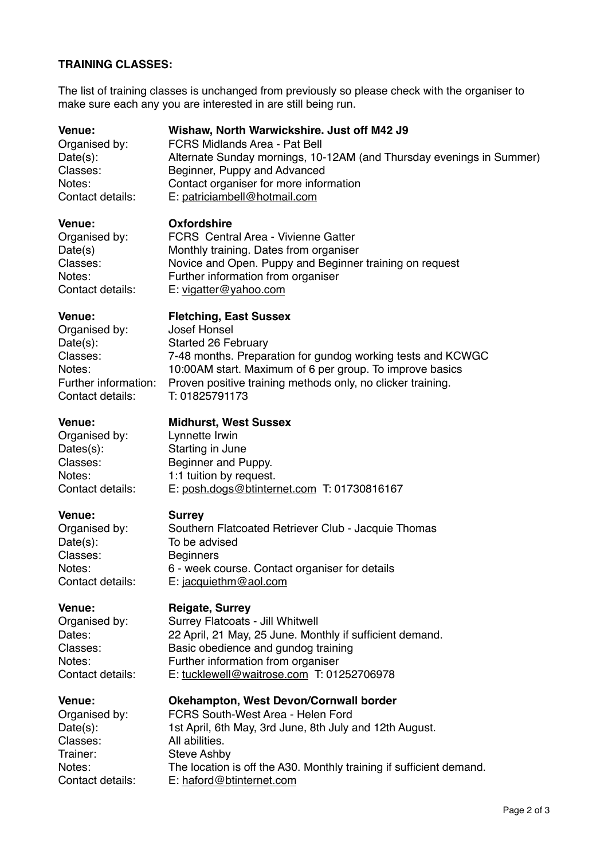## **TRAINING CLASSES:**

The list of training classes is unchanged from previously so please check with the organiser to make sure each any you are interested in are still being run.

| <b>Venue:</b>        | Wishaw, North Warwickshire. Just off M42 J9                          |
|----------------------|----------------------------------------------------------------------|
| Organised by:        | <b>FCRS Midlands Area - Pat Bell</b>                                 |
| Date(s):             | Alternate Sunday mornings, 10-12AM (and Thursday evenings in Summer) |
| Classes:             | Beginner, Puppy and Advanced                                         |
| Notes:               | Contact organiser for more information                               |
| Contact details:     | E: patriciambell@hotmail.com                                         |
| Venue:               | <b>Oxfordshire</b>                                                   |
| Organised by:        | FCRS Central Area - Vivienne Gatter                                  |
| Date(s)              | Monthly training. Dates from organiser                               |
| Classes:             | Novice and Open. Puppy and Beginner training on request              |
| Notes:               | Further information from organiser                                   |
| Contact details:     | E: vigatter@yahoo.com                                                |
| <b>Venue:</b>        | <b>Fletching, East Sussex</b>                                        |
| Organised by:        | <b>Josef Honsel</b>                                                  |
| Date(s):             | <b>Started 26 February</b>                                           |
| Classes:             | 7-48 months. Preparation for gundog working tests and KCWGC          |
| Notes:               | 10:00AM start. Maximum of 6 per group. To improve basics             |
| Further information: | Proven positive training methods only, no clicker training.          |
| Contact details:     | T: 01825791173                                                       |
| <b>Venue:</b>        | <b>Midhurst, West Sussex</b>                                         |
| Organised by:        | Lynnette Irwin                                                       |
| Dates(s):            | Starting in June                                                     |
| Classes:             | Beginner and Puppy.                                                  |
| Notes:               | 1:1 tuition by request.                                              |
| Contact details:     | E: posh.dogs@btinternet.com T: 01730816167                           |
| Venue:               | <b>Surrey</b>                                                        |
| Organised by:        | Southern Flatcoated Retriever Club - Jacquie Thomas                  |
| Date(s):             | To be advised                                                        |
| Classes:             | <b>Beginners</b>                                                     |
| Notes:               | 6 - week course. Contact organiser for details                       |
| Contact details:     | E: jacquiethm@aol.com                                                |
| Venue:               | <b>Reigate, Surrey</b>                                               |
| Organised by:        | Surrey Flatcoats - Jill Whitwell                                     |
| Dates:               | 22 April, 21 May, 25 June. Monthly if sufficient demand.             |
| Classes:             | Basic obedience and gundog training                                  |
| Notes:               | Further information from organiser                                   |
| Contact details:     | E: tucklewell@waitrose.com T: 01252706978                            |
| <b>Venue:</b>        | Okehampton, West Devon/Cornwall border                               |
| Organised by:        | FCRS South-West Area - Helen Ford                                    |
| Date(s):             | 1st April, 6th May, 3rd June, 8th July and 12th August.              |
| Classes:             | All abilities.                                                       |
| Trainer:             | <b>Steve Ashby</b>                                                   |
| Notes:               | The location is off the A30. Monthly training if sufficient demand.  |
| Contact details:     | E: haford@btinternet.com                                             |